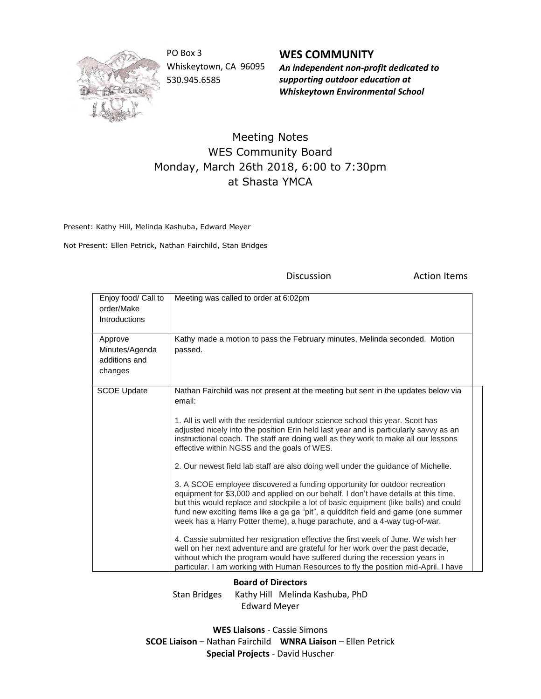

PO Box 3 Whiskeytown, CA 96095 530.945.6585

**WES COMMUNITY** *An independent non-profit dedicated to supporting outdoor education at Whiskeytown Environmental School*

Discussion **Action Items** 

## Meeting Notes WES Community Board Monday, March 26th 2018, 6:00 to 7:30pm at Shasta YMCA

Present: Kathy Hill, Melinda Kashuba, Edward Meyer

Not Present: Ellen Petrick, Nathan Fairchild, Stan Bridges

| Enjoy food/ Call to<br>order/Make<br>Introductions    | Meeting was called to order at 6:02pm                                                                                                                                                                                                                                                                                                                                                                                                                                                                                                                                                                                                                                                                                                                                                                                                                                                                                                                                                                                                                                                                                                                                                                                                                                          |
|-------------------------------------------------------|--------------------------------------------------------------------------------------------------------------------------------------------------------------------------------------------------------------------------------------------------------------------------------------------------------------------------------------------------------------------------------------------------------------------------------------------------------------------------------------------------------------------------------------------------------------------------------------------------------------------------------------------------------------------------------------------------------------------------------------------------------------------------------------------------------------------------------------------------------------------------------------------------------------------------------------------------------------------------------------------------------------------------------------------------------------------------------------------------------------------------------------------------------------------------------------------------------------------------------------------------------------------------------|
| Approve<br>Minutes/Agenda<br>additions and<br>changes | Kathy made a motion to pass the February minutes, Melinda seconded. Motion<br>passed.                                                                                                                                                                                                                                                                                                                                                                                                                                                                                                                                                                                                                                                                                                                                                                                                                                                                                                                                                                                                                                                                                                                                                                                          |
| <b>SCOE Update</b>                                    | Nathan Fairchild was not present at the meeting but sent in the updates below via<br>email:<br>1. All is well with the residential outdoor science school this year. Scott has<br>adjusted nicely into the position Erin held last year and is particularly savyy as an<br>instructional coach. The staff are doing well as they work to make all our lessons<br>effective within NGSS and the goals of WES.<br>2. Our newest field lab staff are also doing well under the guidance of Michelle.<br>3. A SCOE employee discovered a funding opportunity for outdoor recreation<br>equipment for \$3,000 and applied on our behalf. I don't have details at this time,<br>but this would replace and stockpile a lot of basic equipment (like balls) and could<br>fund new exciting items like a ga ga "pit", a quidditch field and game (one summer<br>week has a Harry Potter theme), a huge parachute, and a 4-way tug-of-war.<br>4. Cassie submitted her resignation effective the first week of June. We wish her<br>well on her next adventure and are grateful for her work over the past decade,<br>without which the program would have suffered during the recession years in<br>particular. I am working with Human Resources to fly the position mid-April. I have |

**Board of Directors**

Stan Bridges Kathy Hill Melinda Kashuba, PhD Edward Meyer

**WES Liaisons** - Cassie Simons **SCOE Liaison** – Nathan Fairchild **WNRA Liaison** – Ellen Petrick **Special Projects** - David Huscher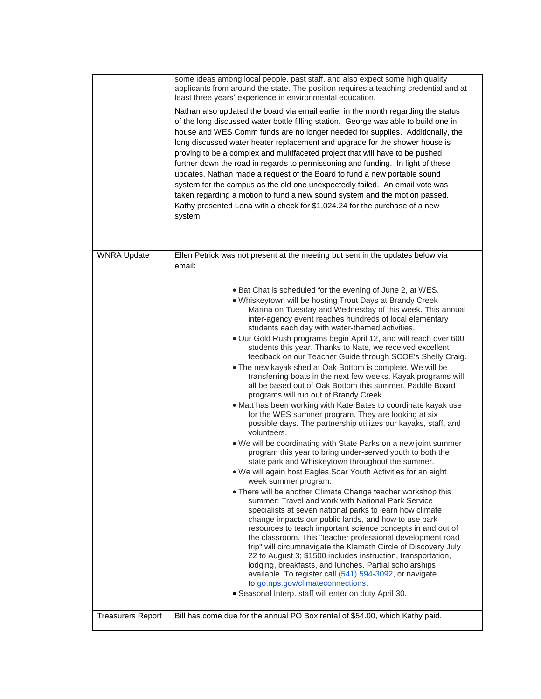|                          | some ideas among local people, past staff, and also expect some high quality<br>applicants from around the state. The position requires a teaching credential and at<br>least three years' experience in environmental education.                                                                                                                                                                                                                                                                                                                                                                                                                                                                                                                                                                                                                                                                                                                                                                                                                                                                                                                                                                                                                                                                                                                                                                                                                                                                                                                                                                                                                                                                                                                                                                                                                                                                                                                            |  |
|--------------------------|--------------------------------------------------------------------------------------------------------------------------------------------------------------------------------------------------------------------------------------------------------------------------------------------------------------------------------------------------------------------------------------------------------------------------------------------------------------------------------------------------------------------------------------------------------------------------------------------------------------------------------------------------------------------------------------------------------------------------------------------------------------------------------------------------------------------------------------------------------------------------------------------------------------------------------------------------------------------------------------------------------------------------------------------------------------------------------------------------------------------------------------------------------------------------------------------------------------------------------------------------------------------------------------------------------------------------------------------------------------------------------------------------------------------------------------------------------------------------------------------------------------------------------------------------------------------------------------------------------------------------------------------------------------------------------------------------------------------------------------------------------------------------------------------------------------------------------------------------------------------------------------------------------------------------------------------------------------|--|
|                          | Nathan also updated the board via email earlier in the month regarding the status<br>of the long discussed water bottle filling station. George was able to build one in<br>house and WES Comm funds are no longer needed for supplies. Additionally, the<br>long discussed water heater replacement and upgrade for the shower house is<br>proving to be a complex and multifaceted project that will have to be pushed<br>further down the road in regards to permissoning and funding. In light of these<br>updates, Nathan made a request of the Board to fund a new portable sound<br>system for the campus as the old one unexpectedly failed. An email vote was<br>taken regarding a motion to fund a new sound system and the motion passed.<br>Kathy presented Lena with a check for \$1,024.24 for the purchase of a new<br>system.                                                                                                                                                                                                                                                                                                                                                                                                                                                                                                                                                                                                                                                                                                                                                                                                                                                                                                                                                                                                                                                                                                                |  |
| <b>WNRA Update</b>       | Ellen Petrick was not present at the meeting but sent in the updates below via<br>email:                                                                                                                                                                                                                                                                                                                                                                                                                                                                                                                                                                                                                                                                                                                                                                                                                                                                                                                                                                                                                                                                                                                                                                                                                                                                                                                                                                                                                                                                                                                                                                                                                                                                                                                                                                                                                                                                     |  |
|                          | • Bat Chat is scheduled for the evening of June 2, at WES.<br>. Whiskeytown will be hosting Trout Days at Brandy Creek<br>Marina on Tuesday and Wednesday of this week. This annual<br>inter-agency event reaches hundreds of local elementary<br>students each day with water-themed activities.<br>. Our Gold Rush programs begin April 12, and will reach over 600<br>students this year. Thanks to Nate, we received excellent<br>feedback on our Teacher Guide through SCOE's Shelly Craig.<br>• The new kayak shed at Oak Bottom is complete. We will be<br>transferring boats in the next few weeks. Kayak programs will<br>all be based out of Oak Bottom this summer. Paddle Board<br>programs will run out of Brandy Creek.<br>• Matt has been working with Kate Bates to coordinate kayak use<br>for the WES summer program. They are looking at six<br>possible days. The partnership utilizes our kayaks, staff, and<br>volunteers.<br>. We will be coordinating with State Parks on a new joint summer<br>program this year to bring under-served youth to both the<br>state park and Whiskeytown throughout the summer.<br>. We will again host Eagles Soar Youth Activities for an eight<br>week summer program.<br>• There will be another Climate Change teacher workshop this<br>summer: Travel and work with National Park Service<br>specialists at seven national parks to learn how climate<br>change impacts our public lands, and how to use park<br>resources to teach important science concepts in and out of<br>the classroom. This "teacher professional development road<br>trip" will circumnavigate the Klamath Circle of Discovery July<br>22 to August 3; \$1500 includes instruction, transportation,<br>lodging, breakfasts, and lunches. Partial scholarships<br>available. To register call (541) 594-3092, or navigate<br>to go.nps.gov/climateconnections.<br>· Seasonal Interp. staff will enter on duty April 30. |  |
| <b>Treasurers Report</b> | Bill has come due for the annual PO Box rental of \$54.00, which Kathy paid.                                                                                                                                                                                                                                                                                                                                                                                                                                                                                                                                                                                                                                                                                                                                                                                                                                                                                                                                                                                                                                                                                                                                                                                                                                                                                                                                                                                                                                                                                                                                                                                                                                                                                                                                                                                                                                                                                 |  |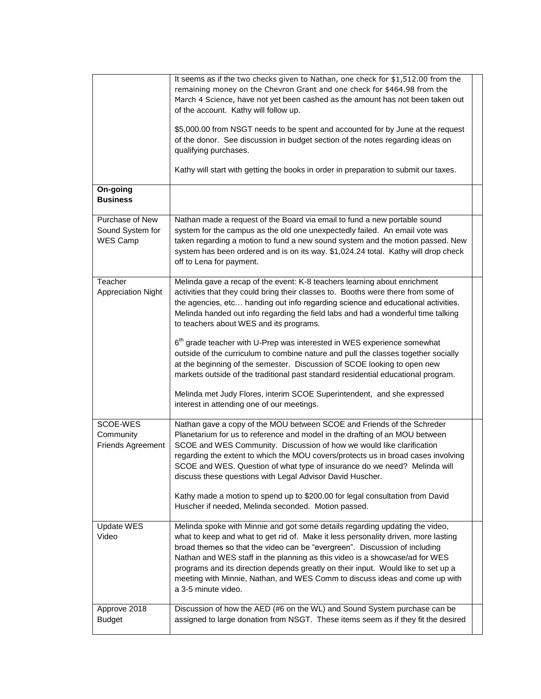|                                                 | It seems as if the two checks given to Nathan, one check for \$1,512.00 from the<br>remaining money on the Chevron Grant and one check for \$464.98 from the<br>March 4 Science, have not yet been cashed as the amount has not been taken out<br>of the account. Kathy will follow up.<br>\$5,000.00 from NSGT needs to be spent and accounted for by June at the request<br>of the donor. See discussion in budget section of the notes regarding ideas on<br>qualifying purchases.<br>Kathy will start with getting the books in order in preparation to submit our taxes. |
|-------------------------------------------------|-------------------------------------------------------------------------------------------------------------------------------------------------------------------------------------------------------------------------------------------------------------------------------------------------------------------------------------------------------------------------------------------------------------------------------------------------------------------------------------------------------------------------------------------------------------------------------|
| On-going<br><b>Business</b>                     |                                                                                                                                                                                                                                                                                                                                                                                                                                                                                                                                                                               |
| Purchase of New<br>Sound System for<br>WES Camp | Nathan made a request of the Board via email to fund a new portable sound<br>system for the campus as the old one unexpectedly failed. An email vote was<br>taken regarding a motion to fund a new sound system and the motion passed. New<br>system has been ordered and is on its way. \$1,024.24 total. Kathy will drop check<br>off to Lena for payment.                                                                                                                                                                                                                  |
| Teacher<br><b>Appreciation Night</b>            | Melinda gave a recap of the event: K-8 teachers learning about enrichment<br>activities that they could bring their classes to. Booths were there from some of<br>the agencies, etc handing out info regarding science and educational activities.<br>Melinda handed out info regarding the field labs and had a wonderful time talking<br>to teachers about WES and its programs.                                                                                                                                                                                            |
|                                                 | $6th$ grade teacher with U-Prep was interested in WES experience somewhat<br>outside of the curriculum to combine nature and pull the classes together socially<br>at the beginning of the semester. Discussion of SCOE looking to open new<br>markets outside of the traditional past standard residential educational program.                                                                                                                                                                                                                                              |
|                                                 | Melinda met Judy Flores, interim SCOE Superintendent, and she expressed<br>interest in attending one of our meetings.                                                                                                                                                                                                                                                                                                                                                                                                                                                         |
| SCOE-WES<br>Community<br>Friends Agreement      | Nathan gave a copy of the MOU between SCOE and Friends of the Schreder<br>Planetarium for us to reference and model in the drafting of an MOU between<br>SCOE and WES Community. Discussion of how we would like clarification<br>regarding the extent to which the MOU covers/protects us in broad cases involving<br>SCOE and WES. Question of what type of insurance do we need? Melinda will<br>discuss these questions with Legal Advisor David Huscher.                                                                                                                 |
|                                                 | Kathy made a motion to spend up to \$200.00 for legal consultation from David<br>Huscher if needed, Melinda seconded. Motion passed.                                                                                                                                                                                                                                                                                                                                                                                                                                          |
| Update WES<br>Video                             | Melinda spoke with Minnie and got some details regarding updating the video,<br>what to keep and what to get rid of. Make it less personality driven, more lasting<br>broad themes so that the video can be "evergreen". Discussion of including<br>Nathan and WES staff in the planning as this video is a showcase/ad for WES<br>programs and its direction depends greatly on their input. Would like to set up a<br>meeting with Minnie, Nathan, and WES Comm to discuss ideas and come up with<br>a 3-5 minute video.                                                    |
| Approve 2018<br><b>Budget</b>                   | Discussion of how the AED (#6 on the WL) and Sound System purchase can be<br>assigned to large donation from NSGT. These items seem as if they fit the desired                                                                                                                                                                                                                                                                                                                                                                                                                |